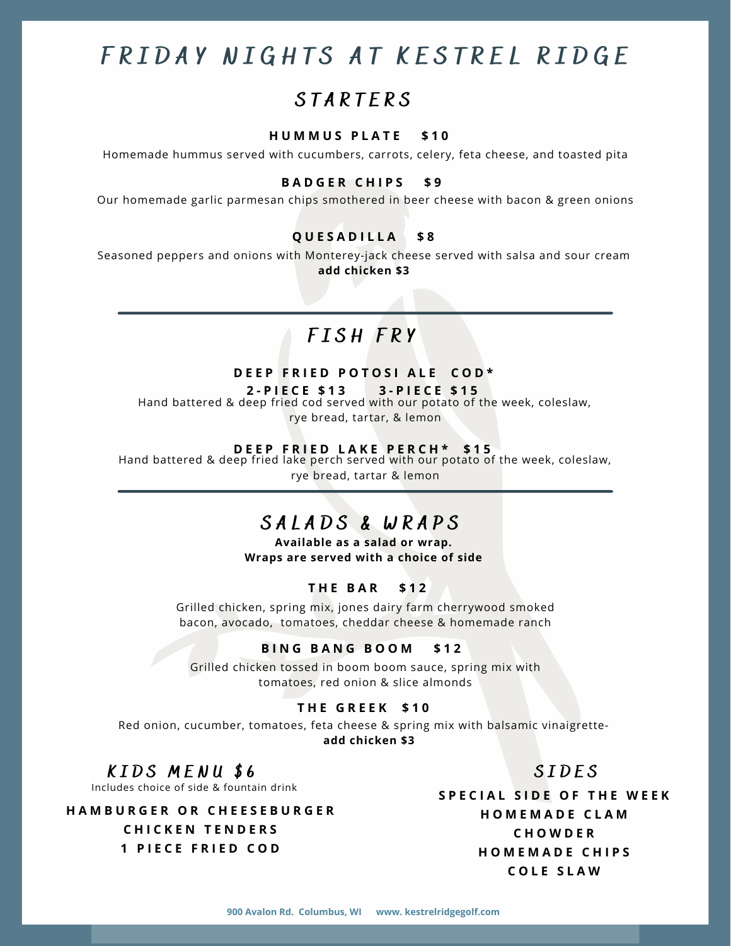# FRIDAY NIGHTS AT KESTREL RIDGE

# **STARTERS**

## **H U M M U S P L A T E \$ 1 0**

Homemade hummus served with cucumbers, carrots, celery, feta cheese, and toasted pita

# **B A D G E R C H I P S \$ 9**

Our homemade garlic parmesan chips smothered in beer cheese with bacon & green onions

# **Q U E S A D I L L A \$ 8**

Seasoned peppers and onions with Monterey-jack cheese served with salsa and sour cream **add chicken \$3**

# F I S H F R Y

# **D E E P F R I E D P O T O S I A L E C O D \***

**2 - P I E C E \$ 1 3 3 - P I E C E \$ 1 5**

Hand battered & deep fried cod served with our potato of the week, coleslaw,

rye bread, tartar, & lemon

### **D E E P F R I E D L A K E P E R C H \* \$ 1 5**

Hand battered & deep fried lake perch served with our potato of the week, coleslaw, rye bread, tartar & lemon

# SALADS & WRAPS

**Available as a salad or wrap. Wraps are served with a choice of side**

# **T H E B A R \$ 1 2**

Grilled chicken, spring mix, jones dairy farm cherrywood smoked bacon, avocado, tomatoes, cheddar cheese & homemade ranch

## **B I N G B A N G B O O M \$ 1 2**

Grilled chicken tossed in boom boom sauce, spring mix with tomatoes, red onion & slice almonds

# **T H E G R E E K \$ 1 0**

Red onion, cucumber, tomatoes, feta cheese & spring mix with balsamic vinaigrette**add chicken \$3**

# KIDS MENU \$6

Includes choice of side & fountain drink

**H A M B U R G E R O R C H E E S E B U R G E R C H I C K E N T E N D E R S 1 P I E C E F R I E D C O D**

**S P E C I A L S I D E O F T H E W E E K H O M E M A D E C L A M C H O W D E R H O M E M A D E C H I P S C O L E S L A W**

S I D E S